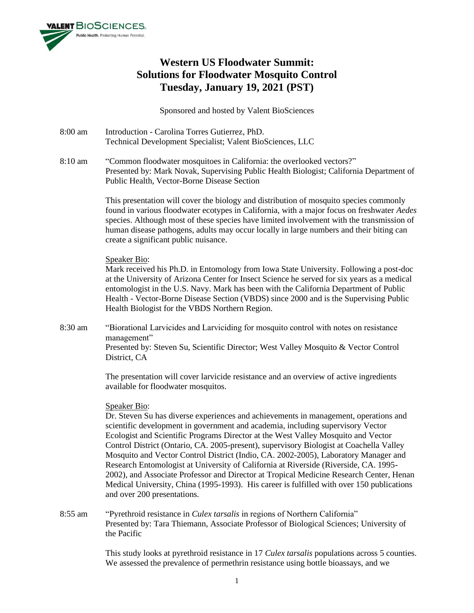

# **Western US Floodwater Summit: Solutions for Floodwater Mosquito Control Tuesday, January 19, 2021 (PST)**

Sponsored and hosted by Valent BioSciences

- 8:00 am Introduction Carolina Torres Gutierrez, PhD. Technical Development Specialist; Valent BioSciences, LLC
- 8:10 am "Common floodwater mosquitoes in California: the overlooked vectors?" Presented by: Mark Novak, Supervising Public Health Biologist; California Department of Public Health, Vector-Borne Disease Section

This presentation will cover the biology and distribution of mosquito species commonly found in various floodwater ecotypes in California, with a major focus on freshwater *Aedes* species. Although most of these species have limited involvement with the transmission of human disease pathogens, adults may occur locally in large numbers and their biting can create a significant public nuisance.

# Speaker Bio:

Mark received his Ph.D. in Entomology from Iowa State University. Following a post-doc at the University of Arizona Center for Insect Science he served for six years as a medical entomologist in the U.S. Navy. Mark has been with the California Department of Public Health - Vector-Borne Disease Section (VBDS) since 2000 and is the Supervising Public Health Biologist for the VBDS Northern Region.

8:30 am "Biorational Larvicides and Larviciding for mosquito control with notes on resistance management" Presented by: Steven Su, Scientific Director; West Valley Mosquito & Vector Control District, CA

> The presentation will cover larvicide resistance and an overview of active ingredients available for floodwater mosquitos.

# Speaker Bio:

Dr. Steven Su has diverse experiences and achievements in management, operations and scientific development in government and academia, including supervisory Vector Ecologist and Scientific Programs Director at the West Valley Mosquito and Vector Control District (Ontario, CA. 2005-present), supervisory Biologist at Coachella Valley Mosquito and Vector Control District (Indio, CA. 2002-2005), Laboratory Manager and Research Entomologist at University of California at Riverside (Riverside, CA. 1995- 2002), and Associate Professor and Director at Tropical Medicine Research Center, Henan Medical University, China (1995-1993). His career is fulfilled with over 150 publications and over 200 presentations.

8:55 am "Pyrethroid resistance in *Culex tarsalis* in regions of Northern California" Presented by: Tara Thiemann, Associate Professor of Biological Sciences; University of the Pacific

> This study looks at pyrethroid resistance in 17 *Culex tarsalis* populations across 5 counties. We assessed the prevalence of permethrin resistance using bottle bioassays, and we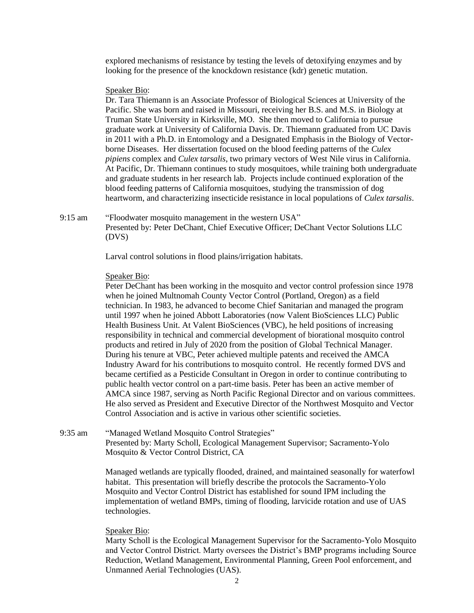explored mechanisms of resistance by testing the levels of detoxifying enzymes and by looking for the presence of the knockdown resistance (kdr) genetic mutation.

### Speaker Bio:

Dr. Tara Thiemann is an Associate Professor of Biological Sciences at University of the Pacific. She was born and raised in Missouri, receiving her B.S. and M.S. in Biology at Truman State University in Kirksville, MO. She then moved to California to pursue graduate work at University of California Davis. Dr. Thiemann graduated from UC Davis in 2011 with a Ph.D. in Entomology and a Designated Emphasis in the Biology of Vectorborne Diseases. Her dissertation focused on the blood feeding patterns of the *Culex pipiens* complex and *Culex tarsalis*, two primary vectors of West Nile virus in California. At Pacific, Dr. Thiemann continues to study mosquitoes, while training both undergraduate and graduate students in her research lab. Projects include continued exploration of the blood feeding patterns of California mosquitoes, studying the transmission of dog heartworm, and characterizing insecticide resistance in local populations of *Culex tarsalis*.

9:15 am "Floodwater mosquito management in the western USA" Presented by: Peter DeChant, Chief Executive Officer; DeChant Vector Solutions LLC (DVS)

Larval control solutions in flood plains/irrigation habitats.

#### Speaker Bio:

Peter DeChant has been working in the mosquito and vector control profession since 1978 when he joined Multnomah County Vector Control (Portland, Oregon) as a field technician. In 1983, he advanced to become Chief Sanitarian and managed the program until 1997 when he joined Abbott Laboratories (now Valent BioSciences LLC) Public Health Business Unit. At Valent BioSciences (VBC), he held positions of increasing responsibility in technical and commercial development of biorational mosquito control products and retired in July of 2020 from the position of Global Technical Manager. During his tenure at VBC, Peter achieved multiple patents and received the AMCA Industry Award for his contributions to mosquito control. He recently formed DVS and became certified as a Pesticide Consultant in Oregon in order to continue contributing to public health vector control on a part-time basis. Peter has been an active member of AMCA since 1987, serving as North Pacific Regional Director and on various committees. He also served as President and Executive Director of the Northwest Mosquito and Vector Control Association and is active in various other scientific societies.

9:35 am "Managed Wetland Mosquito Control Strategies" Presented by: Marty Scholl, Ecological Management Supervisor; Sacramento-Yolo Mosquito & Vector Control District, CA

> Managed wetlands are typically flooded, drained, and maintained seasonally for waterfowl habitat. This presentation will briefly describe the protocols the Sacramento-Yolo Mosquito and Vector Control District has established for sound IPM including the implementation of wetland BMPs, timing of flooding, larvicide rotation and use of UAS technologies.

### Speaker Bio:

Marty Scholl is the Ecological Management Supervisor for the Sacramento-Yolo Mosquito and Vector Control District. Marty oversees the District's BMP programs including Source Reduction, Wetland Management, Environmental Planning, Green Pool enforcement, and Unmanned Aerial Technologies (UAS).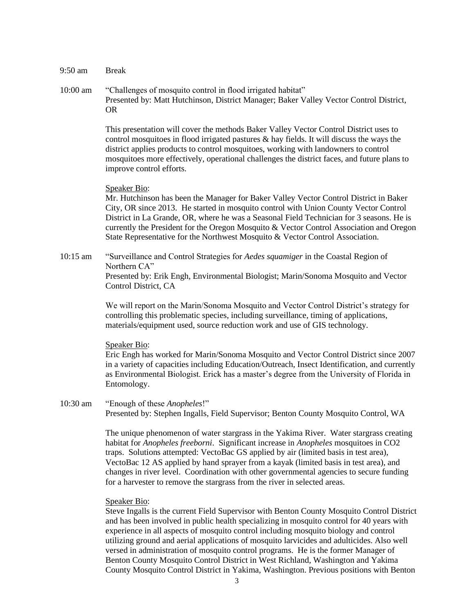| 9:50 am  | <b>Break</b>                                                                                                                                                                                                                                                                                                                                                                                                                                                                                                                            |
|----------|-----------------------------------------------------------------------------------------------------------------------------------------------------------------------------------------------------------------------------------------------------------------------------------------------------------------------------------------------------------------------------------------------------------------------------------------------------------------------------------------------------------------------------------------|
| 10:00 am | "Challenges of mosquito control in flood irrigated habitat"<br>Presented by: Matt Hutchinson, District Manager; Baker Valley Vector Control District,<br><b>OR</b>                                                                                                                                                                                                                                                                                                                                                                      |
|          | This presentation will cover the methods Baker Valley Vector Control District uses to<br>control mosquitoes in flood irrigated pastures & hay fields. It will discuss the ways the<br>district applies products to control mosquitoes, working with landowners to control<br>mosquitoes more effectively, operational challenges the district faces, and future plans to<br>improve control efforts.                                                                                                                                    |
|          | Speaker Bio:<br>Mr. Hutchinson has been the Manager for Baker Valley Vector Control District in Baker<br>City, OR since 2013. He started in mosquito control with Union County Vector Control<br>District in La Grande, OR, where he was a Seasonal Field Technician for 3 seasons. He is<br>currently the President for the Oregon Mosquito & Vector Control Association and Oregon<br>State Representative for the Northwest Mosquito & Vector Control Association.                                                                   |
| 10:15 am | "Surveillance and Control Strategies for Aedes squamiger in the Coastal Region of<br>Northern CA"<br>Presented by: Erik Engh, Environmental Biologist; Marin/Sonoma Mosquito and Vector<br>Control District, CA                                                                                                                                                                                                                                                                                                                         |
|          | We will report on the Marin/Sonoma Mosquito and Vector Control District's strategy for<br>controlling this problematic species, including surveillance, timing of applications,<br>materials/equipment used, source reduction work and use of GIS technology.                                                                                                                                                                                                                                                                           |
|          | Speaker Bio:<br>Eric Engh has worked for Marin/Sonoma Mosquito and Vector Control District since 2007<br>in a variety of capacities including Education/Outreach, Insect Identification, and currently<br>as Environmental Biologist. Erick has a master's degree from the University of Florida in<br>Entomology.                                                                                                                                                                                                                      |
| 10:30 am | "Enough of these Anopheles!"<br>Presented by: Stephen Ingalls, Field Supervisor; Benton County Mosquito Control, WA                                                                                                                                                                                                                                                                                                                                                                                                                     |
|          | The unique phenomenon of water stargrass in the Yakima River. Water stargrass creating<br>habitat for Anopheles freeborni. Significant increase in Anopheles mosquitoes in CO2<br>traps. Solutions attempted: VectoBac GS applied by air (limited basis in test area),<br>VectoBac 12 AS applied by hand sprayer from a kayak (limited basis in test area), and<br>changes in river level. Coordination with other governmental agencies to secure funding<br>for a harvester to remove the stargrass from the river in selected areas. |
|          |                                                                                                                                                                                                                                                                                                                                                                                                                                                                                                                                         |

# Speaker Bio:

Steve Ingalls is the current Field Supervisor with Benton County Mosquito Control District and has been involved in public health specializing in mosquito control for 40 years with experience in all aspects of mosquito control including mosquito biology and control utilizing ground and aerial applications of mosquito larvicides and adulticides. Also well versed in administration of mosquito control programs. He is the former Manager of Benton County Mosquito Control District in West Richland, Washington and Yakima County Mosquito Control District in Yakima, Washington. Previous positions with Benton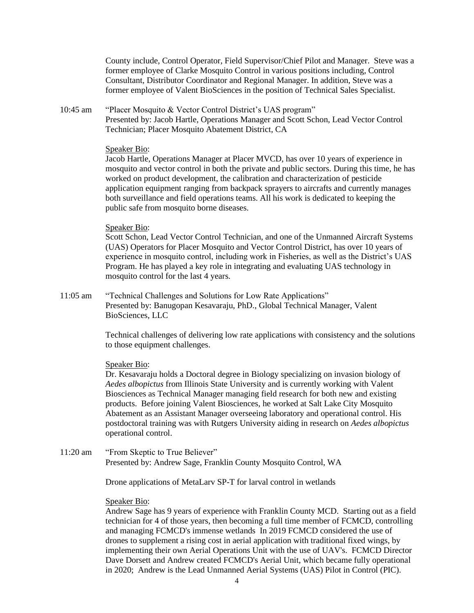County include, Control Operator, Field Supervisor/Chief Pilot and Manager. Steve was a former employee of Clarke Mosquito Control in various positions including, Control Consultant, Distributor Coordinator and Regional Manager. In addition, Steve was a former employee of Valent BioSciences in the position of Technical Sales Specialist.

10:45 am "Placer Mosquito & Vector Control District's UAS program" Presented by: Jacob Hartle, Operations Manager and Scott Schon, Lead Vector Control Technician; Placer Mosquito Abatement District, CA

### Speaker Bio:

Jacob Hartle, Operations Manager at Placer MVCD, has over 10 years of experience in mosquito and vector control in both the private and public sectors. During this time, he has worked on product development, the calibration and characterization of pesticide application equipment ranging from backpack sprayers to aircrafts and currently manages both surveillance and field operations teams. All his work is dedicated to keeping the public safe from mosquito borne diseases.

### Speaker Bio:

Scott Schon, Lead Vector Control Technician, and one of the Unmanned Aircraft Systems (UAS) Operators for Placer Mosquito and Vector Control District, has over 10 years of experience in mosquito control, including work in Fisheries, as well as the District's UAS Program. He has played a key role in integrating and evaluating UAS technology in mosquito control for the last 4 years.

11:05 am "Technical Challenges and Solutions for Low Rate Applications" Presented by: Banugopan Kesavaraju, PhD., Global Technical Manager, Valent BioSciences, LLC

> Technical challenges of delivering low rate applications with consistency and the solutions to those equipment challenges.

### Speaker Bio:

Dr. Kesavaraju holds a Doctoral degree in Biology specializing on invasion biology of *Aedes albopictus* from Illinois State University and is currently working with Valent Biosciences as Technical Manager managing field research for both new and existing products. Before joining Valent Biosciences, he worked at Salt Lake City Mosquito Abatement as an Assistant Manager overseeing laboratory and operational control. His postdoctoral training was with Rutgers University aiding in research on *Aedes albopictus* operational control.

11:20 am "From Skeptic to True Believer" Presented by: Andrew Sage, Franklin County Mosquito Control, WA

Drone applications of MetaLarv SP-T for larval control in wetlands

# Speaker Bio:

Andrew Sage has 9 years of experience with Franklin County MCD. Starting out as a field technician for 4 of those years, then becoming a full time member of FCMCD, controlling and managing FCMCD's immense wetlands In 2019 FCMCD considered the use of drones to supplement a rising cost in aerial application with traditional fixed wings, by implementing their own Aerial Operations Unit with the use of UAV's. FCMCD Director Dave Dorsett and Andrew created FCMCD's Aerial Unit, which became fully operational in 2020; Andrew is the Lead Unmanned Aerial Systems (UAS) Pilot in Control (PIC).